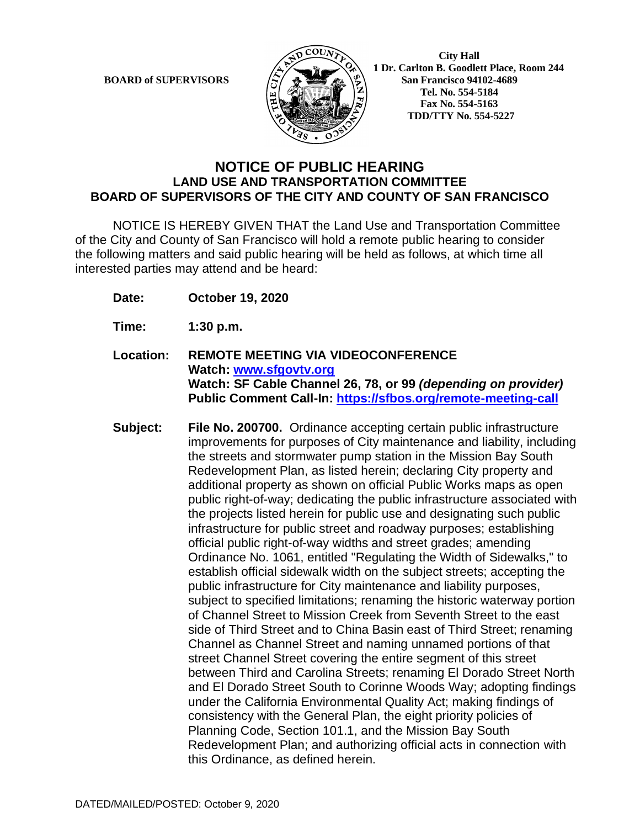

 **1 Dr. Carlton B. Goodlett Place, Room 244 BOARD of SUPERVISORS**  $\left(\frac{S}{I}\right)$   $\oplus$   $\left(\frac{S}{I}\right)$  San Francisco 94102-4689  **Tel. No. 554-5184 Fax No. 554-5163 TDD/TTY No. 554-5227**

## **NOTICE OF PUBLIC HEARING LAND USE AND TRANSPORTATION COMMITTEE BOARD OF SUPERVISORS OF THE CITY AND COUNTY OF SAN FRANCISCO**

NOTICE IS HEREBY GIVEN THAT the Land Use and Transportation Committee of the City and County of San Francisco will hold a remote public hearing to consider the following matters and said public hearing will be held as follows, at which time all interested parties may attend and be heard:

- **Date: October 19, 2020**
- **Time: 1:30 p.m.**
- **Location: REMOTE MEETING VIA VIDEOCONFERENCE Watch: www.sfgovtv.org Watch: SF Cable Channel 26, 78, or 99** *(depending on provider)* **Public Comment Call-In: https://sfbos.org/remote-meeting-call**
- **Subject: File No. 200700.** Ordinance accepting certain public infrastructure improvements for purposes of City maintenance and liability, including the streets and stormwater pump station in the Mission Bay South Redevelopment Plan, as listed herein; declaring City property and additional property as shown on official Public Works maps as open public right-of-way; dedicating the public infrastructure associated with the projects listed herein for public use and designating such public infrastructure for public street and roadway purposes; establishing official public right-of-way widths and street grades; amending Ordinance No. 1061, entitled "Regulating the Width of Sidewalks," to establish official sidewalk width on the subject streets; accepting the public infrastructure for City maintenance and liability purposes, subject to specified limitations; renaming the historic waterway portion of Channel Street to Mission Creek from Seventh Street to the east side of Third Street and to China Basin east of Third Street; renaming Channel as Channel Street and naming unnamed portions of that street Channel Street covering the entire segment of this street between Third and Carolina Streets; renaming El Dorado Street North and El Dorado Street South to Corinne Woods Way; adopting findings under the California Environmental Quality Act; making findings of consistency with the General Plan, the eight priority policies of Planning Code, Section 101.1, and the Mission Bay South Redevelopment Plan; and authorizing official acts in connection with this Ordinance, as defined herein.